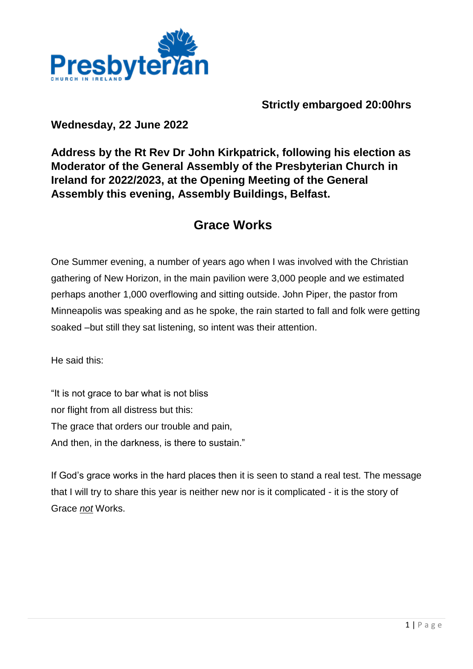

## **Strictly embargoed 20:00hrs**

### **Wednesday, 22 June 2022**

## **Address by the Rt Rev Dr John Kirkpatrick, following his election as Moderator of the General Assembly of the Presbyterian Church in Ireland for 2022/2023, at the Opening Meeting of the General Assembly this evening, Assembly Buildings, Belfast.**

# **Grace Works**

One Summer evening, a number of years ago when I was involved with the Christian gathering of New Horizon, in the main pavilion were 3,000 people and we estimated perhaps another 1,000 overflowing and sitting outside. John Piper, the pastor from Minneapolis was speaking and as he spoke, the rain started to fall and folk were getting soaked –but still they sat listening, so intent was their attention.

He said this:

"It is not grace to bar what is not bliss nor flight from all distress but this: The grace that orders our trouble and pain, And then, in the darkness, is there to sustain."

If God's grace works in the hard places then it is seen to stand a real test. The message that I will try to share this year is neither new nor is it complicated - it is the story of Grace *not* Works.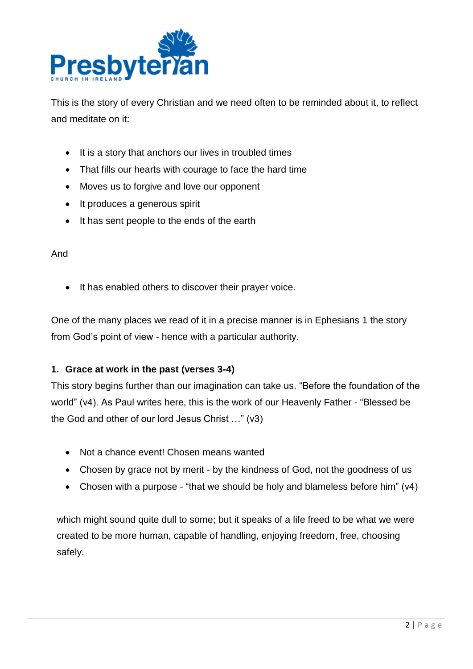

This is the story of every Christian and we need often to be reminded about it, to reflect and meditate on it:

- It is a story that anchors our lives in troubled times
- That fills our hearts with courage to face the hard time
- Moves us to forgive and love our opponent
- It produces a generous spirit
- It has sent people to the ends of the earth

#### And

• It has enabled others to discover their prayer voice.

One of the many places we read of it in a precise manner is in Ephesians 1 the story from God's point of view - hence with a particular authority.

#### **1. Grace at work in the past (verses 3-4)**

This story begins further than our imagination can take us. "Before the foundation of the world" (v4). As Paul writes here, this is the work of our Heavenly Father - "Blessed be the God and other of our lord Jesus Christ …" (v3)

- Not a chance event! Chosen means wanted
- Chosen by grace not by merit by the kindness of God, not the goodness of us
- Chosen with a purpose "that we should be holy and blameless before him" (v4)

which might sound quite dull to some; but it speaks of a life freed to be what we were created to be more human, capable of handling, enjoying freedom, free, choosing safely.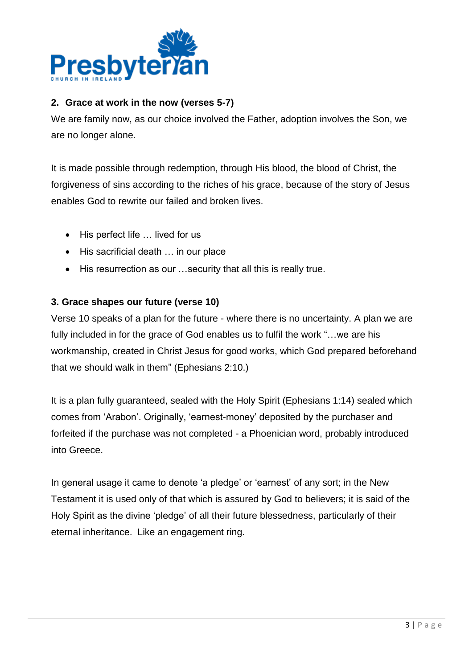

#### **2. Grace at work in the now (verses 5-7)**

We are family now, as our choice involved the Father, adoption involves the Son, we are no longer alone.

It is made possible through redemption, through His blood, the blood of Christ, the forgiveness of sins according to the riches of his grace, because of the story of Jesus enables God to rewrite our failed and broken lives.

- His perfect life ... lived for us
- His sacrificial death ... in our place
- His resurrection as our …security that all this is really true.

#### **3. Grace shapes our future (verse 10)**

Verse 10 speaks of a plan for the future - where there is no uncertainty. A plan we are fully included in for the grace of God enables us to fulfil the work "…we are his workmanship, created in Christ Jesus for good works, which God prepared beforehand that we should walk in them" (Ephesians 2:10.)

It is a plan fully guaranteed, sealed with the Holy Spirit (Ephesians 1:14) sealed which comes from 'Arabon'. Originally, 'earnest-money' deposited by the purchaser and forfeited if the purchase was not completed - a Phoenician word, probably introduced into Greece.

In general usage it came to denote 'a pledge' or 'earnest' of any sort; in the New Testament it is used only of that which is assured by God to believers; it is said of the Holy Spirit as the divine 'pledge' of all their future blessedness, particularly of their eternal inheritance. Like an engagement ring.